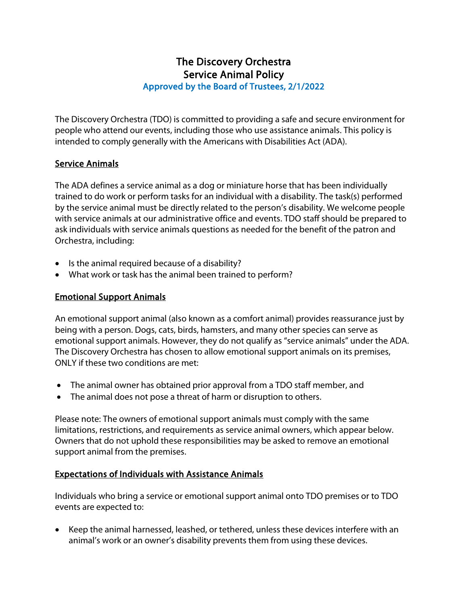# The Discovery Orchestra Service Animal Policy Approved by the Board of Trustees, 2/1/2022

The Discovery Orchestra (TDO) is committed to providing a safe and secure environment for people who attend our events, including those who use assistance animals. This policy is intended to comply generally with the Americans with Disabilities Act (ADA).

## Service Animals

The ADA defines a service animal as a dog or miniature horse that has been individually trained to do work or perform tasks for an individual with a disability. The task(s) performed by the service animal must be directly related to the person's disability. We welcome people with service animals at our administrative office and events. TDO staff should be prepared to ask individuals with service animals questions as needed for the benefit of the patron and Orchestra, including:

- Is the animal required because of a disability?
- What work or task has the animal been trained to perform?

#### Emotional Support Animals

An emotional support animal (also known as a comfort animal) provides reassurance just by being with a person. Dogs, cats, birds, hamsters, and many other species can serve as emotional support animals. However, they do not qualify as "service animals" under the ADA. The Discovery Orchestra has chosen to allow emotional support animals on its premises, ONLY if these two conditions are met:

- The animal owner has obtained prior approval from a TDO staff member, and
- The animal does not pose a threat of harm or disruption to others.

Please note: The owners of emotional support animals must comply with the same limitations, restrictions, and requirements as service animal owners, which appear below. Owners that do not uphold these responsibilities may be asked to remove an emotional support animal from the premises.

## Expectations of Individuals with Assistance Animals

Individuals who bring a service or emotional support animal onto TDO premises or to TDO events are expected to:

• Keep the animal harnessed, leashed, or tethered, unless these devices interfere with an animal's work or an owner's disability prevents them from using these devices.